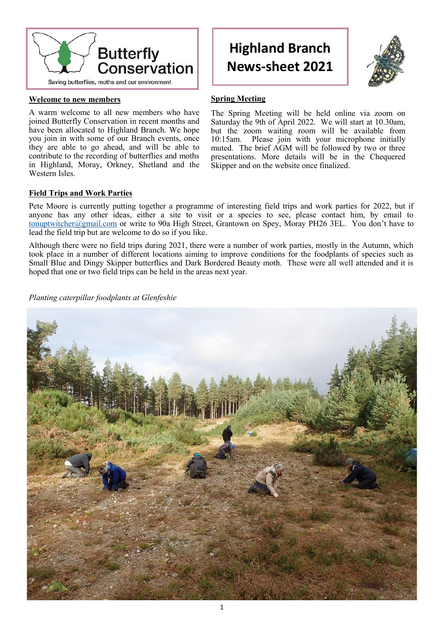

## **Welcome to new members**

A warm welcome to all new members who have joined Butterfly Conservation in recent months and have been allocated to Highland Branch. We hope you join in with some of our Branch events, once they are able to go ahead, and will be able to contribute to the recording of butterflies and moths in Highland, Moray, Orkney, Shetland and the Western Isles.

# **Highland Branch News-sheet 2021**



## **Spring Meeting**

The Spring Meeting will be held online via zoom on Saturday the 9th of April 2022. We will start at 10.30am, but the zoom waiting room will be available from<br>10:15am. Please join with your microphone initially Please join with your microphone initially muted. The brief AGM will be followed by two or three presentations. More details will be in the Chequered Skipper and on the website once finalized.

## **Field Trips and Work Parties**

Pete Moore is currently putting together a programme of interesting field trips and work parties for 2022, but if anyone has any other ideas, either a site to visit or a species to see, please contact him, by email to [tonuptwitcher@gmail.com](mailto:tonuptwitcher@gmail.com) or write to 90a High Street, Grantown on Spey, Moray PH26 3EL. You don't have to lead the field trip but are welcome to do so if you like.

Although there were no field trips during 2021, there were a number of work parties, mostly in the Autumn, which took place in a number of different locations aiming to improve conditions for the foodplants of species such as Small Blue and Dingy Skipper butterflies and Dark Bordered Beauty moth. These were all well attended and it is hoped that one or two field trips can be held in the areas next year.

*Planting caterpillar foodplants at Glenfeshie*

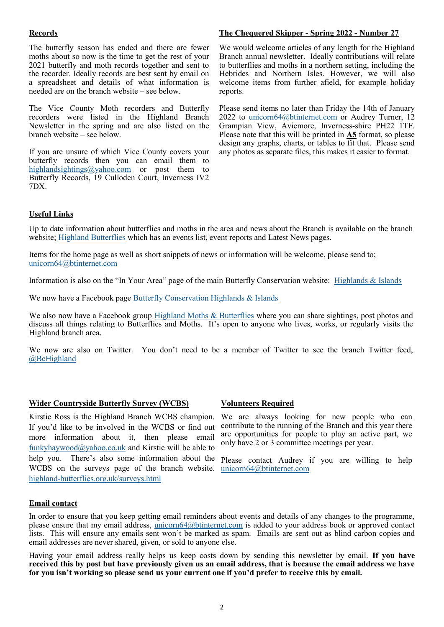## **Records**

The butterfly season has ended and there are fewer moths about so now is the time to get the rest of your 2021 butterfly and moth records together and sent to the recorder. Ideally records are best sent by email on a spreadsheet and details of what information is needed are on the branch website – see below.

The Vice County Moth recorders and Butterfly recorders were listed in the Highland Branch Newsletter in the spring and are also listed on the branch website – see below.

If you are unsure of which Vice County covers your butterfly records then you can email them to [highlandsightings@yahoo.com](mailto:highlandsightings@yahoo.com) or post them to Butterfly Records, 19 Culloden Court, Inverness IV2 7DX.

#### **The Chequered Skipper - Spring 2022 - Number 27**

We would welcome articles of any length for the Highland Branch annual newsletter. Ideally contributions will relate to butterflies and moths in a northern setting, including the Hebrides and Northern Isles. However, we will also welcome items from further afield, for example holiday reports.

Please send items no later than Friday the 14th of January 2022 to [unicorn64@btinternet.com](mailto:unicorn64@btinternet.com) or Audrey Turner, 12 Grampian View, Aviemore, Inverness-shire PH22 1TF. Please note that this will be printed in **A5** format, so please design any graphs, charts, or tables to fit that. Please send any photos as separate files, this makes it easier to format.

#### **Useful Links**

Up to date information about butterflies and moths in the area and news about the Branch is available on the branch website; [Highland Butterflies](http://www.highland-butterflies.org.uk/) which has an events list, event reports and Latest News pages.

Items for the home page as well as short snippets of news or information will be welcome, please send to; [unicorn64@btinternet.com](mailto:unicorn64@btinternet.com)

Information is also on the "In Your Area" page of the main Butterfly Conservation website: [Highlands & Islands](http://butterfly-conservation.org/313/highlands-and-islands-branch.html)

We now have a Facebook page Butterfly Conservation Highlands & Islands

We also now have a Facebook group [Highland Moths & Butterflies](https://www.facebook.com/groups/highlandbutterflies/) where you can share sightings, post photos and discuss all things relating to Butterflies and Moths. It's open to anyone who lives, works, or regularly visits the Highland branch area.

We now are also on Twitter. You don't need to be a member of Twitter to see the branch Twitter feed, [@BcHighland](https://twitter.com/BcHighland)

## **Wider Countryside Butterfly Survey (WCBS)**

Kirstie Ross is the Highland Branch WCBS champion. If you'd like to be involved in the WCBS or find out more information about it, then please email [funkyhaywood@yahoo.co.uk](mailto:funkyhaywood@yahoo.co.uk) and Kirstie will be able to help you. There's also some information about the Please contact Audrey if you are willing to help WCBS on the surveys page of the branch website. [unicorn64@btinternet.com](mailto:unicorn64@btinternet.com) highland-[butterflies.org.uk/surveys.html](http://www.highland-butterflies.org.uk/surveys.html)

## **Volunteers Required**

We are always looking for new people who can contribute to the running of the Branch and this year there are opportunities for people to play an active part, we only have 2 or 3 committee meetings per year.

#### **Email contact**

In order to ensure that you keep getting email reminders about events and details of any changes to the programme, please ensure that my email address, [unicorn64@btinternet.com](mailto:unicorn64@btinternet.com) is added to your address book or approved contact lists. This will ensure any emails sent won't be marked as spam. Emails are sent out as blind carbon copies and email addresses are never shared, given, or sold to anyone else.

Having your email address really helps us keep costs down by sending this newsletter by email. **If you have received this by post but have previously given us an email address, that is because the email address we have for you isn't working so please send us your current one if you'd prefer to receive this by email.**